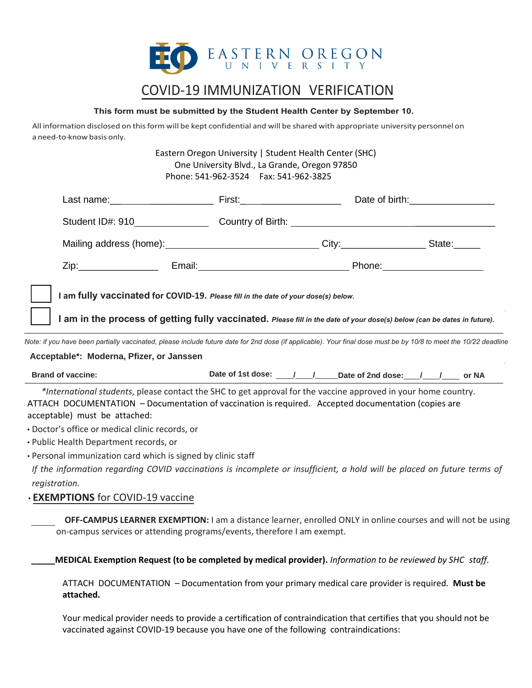

# COVID-19 IMMUNIZATION VERIFICATION

#### **This form must be submitted by the Student Health Center by September 10.**

All information disclosed on this form will be kept confidential and will be shared with appropriate university personnel on a need-to-know basis only.

> Eastern Oregon University | Student Health Center (SHC) One University Blvd., La Grande, Oregon 97850 Phone: 541-962-3524 Fax: 541-962-3825

| I am fully vaccinated for COVID-19. Please fill in the date of your dose(s) below.<br>I am in the process of getting fully vaccinated. Please fill in the date of your dose(s) below (can be dates in future).<br>Note: if you have been partially vaccinated, please include future date for 2nd dose (if applicable). Your final dose must be by 10/8 to meet the 10/22 deadline |  |                                                       |  |  |  |
|------------------------------------------------------------------------------------------------------------------------------------------------------------------------------------------------------------------------------------------------------------------------------------------------------------------------------------------------------------------------------------|--|-------------------------------------------------------|--|--|--|
| Acceptable*: Moderna, Pfizer, or Janssen                                                                                                                                                                                                                                                                                                                                           |  |                                                       |  |  |  |
| <b>Brand of vaccine:</b>                                                                                                                                                                                                                                                                                                                                                           |  | Date of 1st dose: 1 1 2 Date of 2nd dose: 1 1 3 or NA |  |  |  |
| *International students, please contact the SHC to get approval for the vaccine approved in your home country.<br>ATTACH DOCUMENTATION - Documentation of vaccination is required. Accepted documentation (copies are<br>acceptable) must be attached:<br>· Doctor's office or medical clinic records, or<br>• Public Health Department records, or                                |  |                                                       |  |  |  |
|                                                                                                                                                                                                                                                                                                                                                                                    |  |                                                       |  |  |  |

• Personal immunization card which is signed by clinic staff

*If the information regarding COVID vaccinations is incomplete or insufficient, a hold will be placed on future terms of registration.*

# • **EXEMPTIONS** for COVID-19 vaccine

 **OFF-CAMPUS LEARNER EXEMPTION:** I am a distance learner, enrolled ONLY in online courses and will not be using on-campus services or attending programs/events, therefore I am exempt.

**\_\_\_\_\_MEDICAL Exemption Request (to be completed by medical provider).** *Information to be reviewed by SHC staff.*

ATTACH DOCUMENTATION – Documentation from your primary medical care provider is required. **Must be attached.**

Your medical provider needs to provide a certification of contraindication that certifies that you should not be vaccinated against COVID-19 because you have one of the following contraindications: